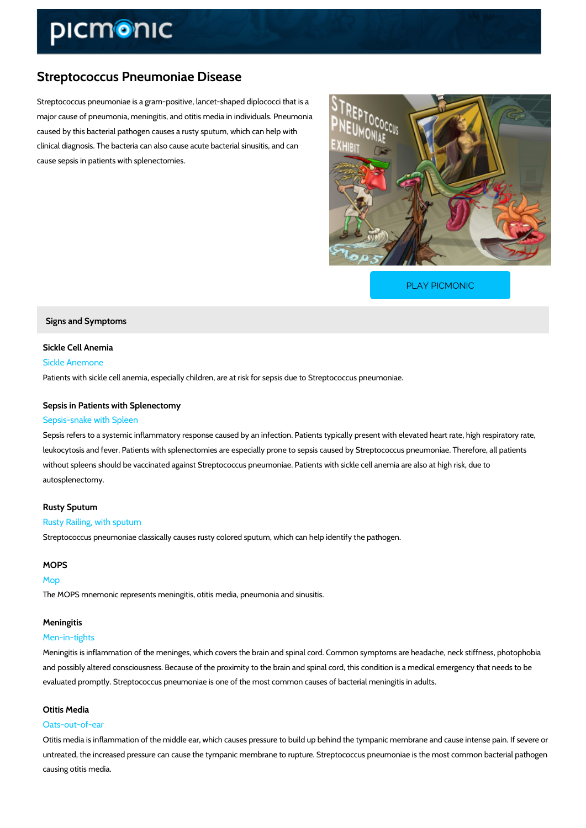# Streptococcus Pneumoniae Disease

Streptococcus pneumoniae is a gram-positive, lancet-shaped diplococci that is a major cause of pneumonia, meningitis, and otitis media in individuals. Pneumonia caused by this bacterial pathogen causes a rusty sputum, which can help with clinical diagnosis. The bacteria can also cause acute bacterial sinusitis, and can cause sepsis in patients with splenectomies.

[PLAY PICMONIC](https://www.picmonic.com/learn/streptococcus-pneumoniae-disease_2684?utm_source=downloadable_content&utm_medium=distributedcontent&utm_campaign=pathways_pdf&utm_content=Streptococcus Pneumoniae Disease&utm_ad_group=leads&utm_market=all)

Signs and Symptoms

Sickle Cell Anemia Sickle Anemone Patients with sickle cell anemia, especially children, are at risk for sepsis due to Streptococc

Sepsis in Patients with Splenectomy Sepsis-snake with Spleen

Sepsis refers to a systemic inflammatory response caused by an infection. Patients typically present leukocytosis and fever. Patients with splenectomies are especially prone to sepsis caused by without spleens should be vaccinated against Streptococcus pneumoniae. Patients with sickle autosplenectomy.

#### Rusty Sputum

#### Rusty Railing, with sputum

Streptococcus pneumoniae classically causes rusty colored sputum, which can help identify th

## MOPS

## Mop

The MOPS mnemonic represents meningitis, otitis media, pneumonia and sinusitis.

## Meningitis

#### Men-in-tights

Meningitis is inflammation of the meninges, which covers the brain and spinal cord. Common s and possibly altered consciousness. Because of the proximity to the brain and spinal cord, th evaluated promptly. Streptococcus pneumoniae is one of the most common causes of bacterial

#### Otitis Media

#### Oats-out-of-ear

Otitis media is inflammation of the middle ear, which causes pressure to build up behind the t untreated, the increased pressure can cause the tympanic membrane to rupture. Streptococcus causing otitis media.